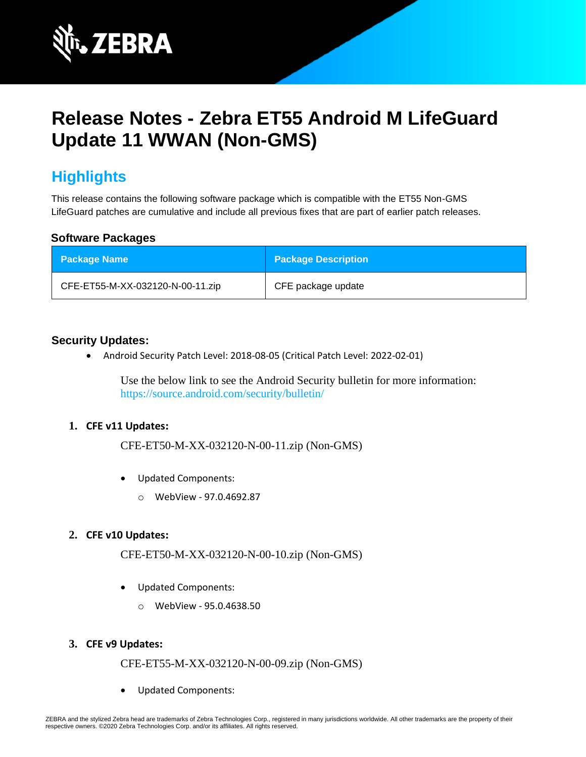

# **Release Notes - Zebra ET55 Android M LifeGuard Update 11 WWAN (Non-GMS)**

# **Highlights**

This release contains the following software package which is compatible with the ET55 Non-GMS LifeGuard patches are cumulative and include all previous fixes that are part of earlier patch releases.

#### **Software Packages**

| <b>Package Name</b>              | <b>Package Description</b> |
|----------------------------------|----------------------------|
| CFE-ET55-M-XX-032120-N-00-11.zip | CFE package update         |

#### **Security Updates:**

• Android Security Patch Level: 2018-08-05 (Critical Patch Level: 2022-02-01)

Use the below link to see the Android Security bulletin for more information: <https://source.android.com/security/bulletin/>

#### **1. CFE v11 Updates:**

CFE-ET50-M-XX-032120-N-00-11.zip (Non-GMS)

- Updated Components:
	- o WebView 97.0.4692.87

#### **2. CFE v10 Updates:**

CFE-ET50-M-XX-032120-N-00-10.zip (Non-GMS)

- Updated Components:
	- o WebView 95.0.4638.50

#### **3. CFE v9 Updates:**

CFE-ET55-M-XX-032120-N-00-09.zip (Non-GMS)

• Updated Components: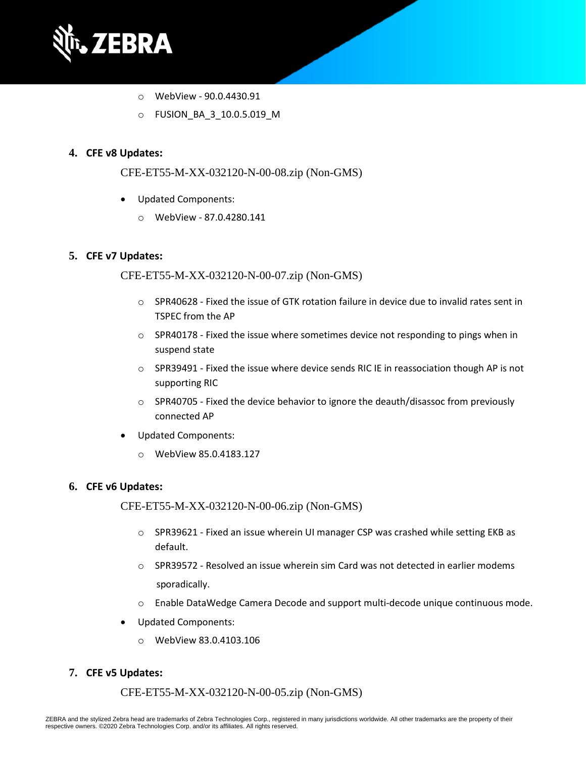

- o WebView 90.0.4430.91
- o FUSION\_BA\_3\_10.0.5.019\_M

#### **4. CFE v8 Updates:**

CFE-ET55-M-XX-032120-N-00-08.zip (Non-GMS)

- Updated Components:
	- o WebView 87.0.4280.141

#### **5. CFE v7 Updates:**

CFE-ET55-M-XX-032120-N-00-07.zip (Non-GMS)

- $\circ$  SPR40628 Fixed the issue of GTK rotation failure in device due to invalid rates sent in TSPEC from the AP
- $\circ$  SPR40178 Fixed the issue where sometimes device not responding to pings when in suspend state
- $\circ$  SPR39491 Fixed the issue where device sends RIC IE in reassociation though AP is not supporting RIC
- $\circ$  SPR40705 Fixed the device behavior to ignore the deauth/disassoc from previously connected AP
- Updated Components:
	- o WebView 85.0.4183.127

#### **6. CFE v6 Updates:**

CFE-ET55-M-XX-032120-N-00-06.zip (Non-GMS)

- $\circ$  SPR39621 Fixed an issue wherein UI manager CSP was crashed while setting EKB as default.
- $\circ$  SPR39572 Resolved an issue wherein sim Card was not detected in earlier modems sporadically.
- o Enable DataWedge Camera Decode and support multi-decode unique continuous mode.
- Updated Components:
	- o WebView 83.0.4103.106

#### **7. CFE v5 Updates:**

CFE-ET55-M-XX-032120-N-00-05.zip (Non-GMS)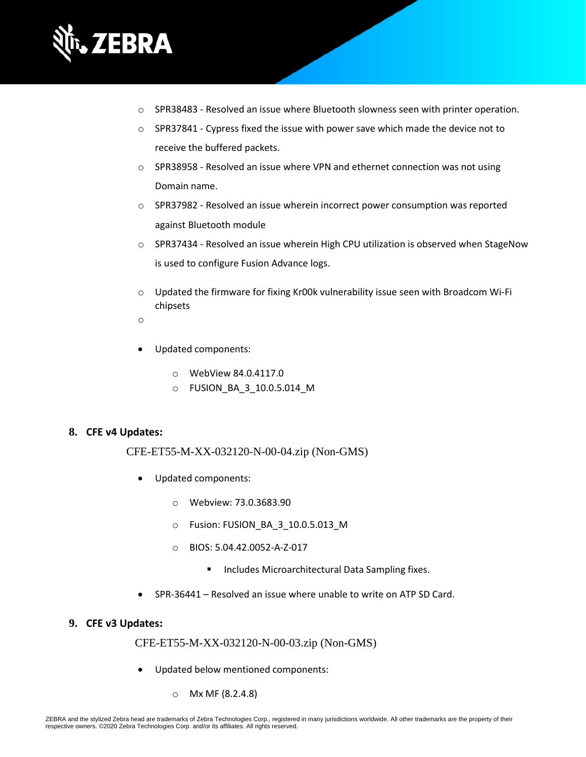

- o SPR38483 Resolved an issue where Bluetooth slowness seen with printer operation.
- $\circ$  SPR37841 Cypress fixed the issue with power save which made the device not to receive the buffered packets.
- o SPR38958 Resolved an issue where VPN and ethernet connection was not using Domain name.
- $\circ$  SPR37982 Resolved an issue wherein incorrect power consumption was reported against Bluetooth module
- $\circ$  SPR37434 Resolved an issue wherein High CPU utilization is observed when StageNow is used to configure Fusion Advance logs.
- $\circ$  Updated the firmware for fixing Kr00k vulnerability issue seen with Broadcom Wi-Fi chipsets
- o
- Updated components:
	- o WebView 84.0.4117.0
	- o FUSION\_BA\_3\_10.0.5.014\_M

#### **8. CFE v4 Updates:**

CFE-ET55-M-XX-032120-N-00-04.zip (Non-GMS)

- Updated components:
	- o Webview: 73.0.3683.90
	- o Fusion: FUSION\_BA\_3\_10.0.5.013\_M
	- o BIOS: 5.04.42.0052-A-Z-017
		- Includes Microarchitectural Data Sampling fixes.
- SPR-36441 Resolved an issue where unable to write on ATP SD Card.

#### **9. CFE v3 Updates:**

CFE-ET55-M-XX-032120-N-00-03.zip (Non-GMS)

- Updated below mentioned components:
	- o Mx MF (8.2.4.8)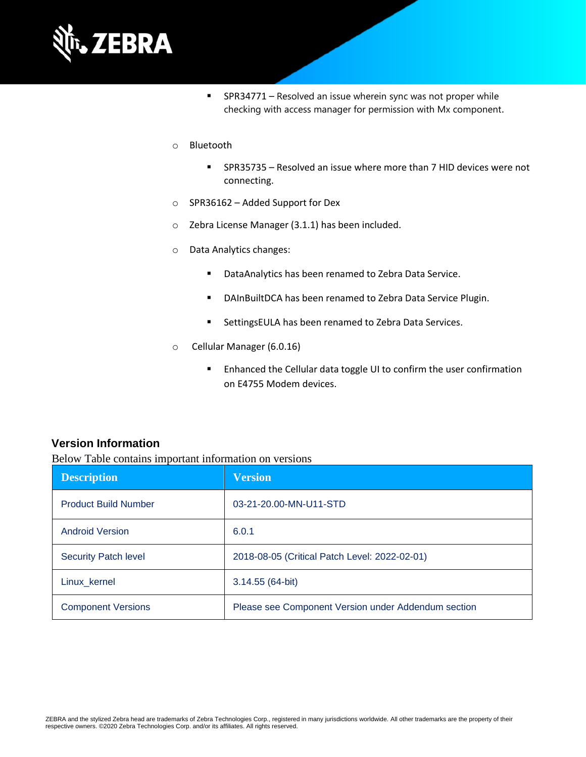

- SPR34771 Resolved an issue wherein sync was not proper while checking with access manager for permission with Mx component.
- o Bluetooth
	- SPR35735 Resolved an issue where more than 7 HID devices were not connecting.
- o SPR36162 Added Support for Dex
- o Zebra License Manager (3.1.1) has been included.
- o Data Analytics changes:
	- DataAnalytics has been renamed to Zebra Data Service.
	- DAInBuiltDCA has been renamed to Zebra Data Service Plugin.
	- SettingsEULA has been renamed to Zebra Data Services.
- o Cellular Manager (6.0.16)
	- Enhanced the Cellular data toggle UI to confirm the user confirmation on E4755 Modem devices.

#### **Version Information**

Below Table contains important information on versions

| <b>Description</b>          | <b>Version</b>                                      |
|-----------------------------|-----------------------------------------------------|
| <b>Product Build Number</b> | 03-21-20.00-MN-U11-STD                              |
| <b>Android Version</b>      | 6.0.1                                               |
| <b>Security Patch level</b> | 2018-08-05 (Critical Patch Level: 2022-02-01)       |
| Linux_kernel                | 3.14.55 (64-bit)                                    |
| <b>Component Versions</b>   | Please see Component Version under Addendum section |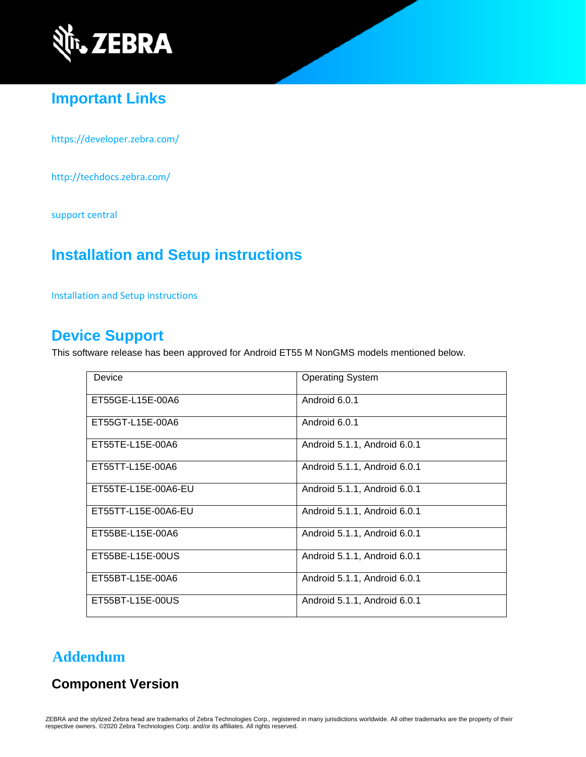

# **Important Links**

<https://developer.zebra.com/>

<http://techdocs.zebra.com/>

[support central](https://www.zebra.com/us/en/support-downloads/software/operating-system/et55-non-gms-operating-system.html)

### **Installation and Setup instructions**

[Installation and Setup instructions](https://www.zebra.com/content/dam/zebra_new_ia/en-us/software/operating-system/ET5X%20Operating%20System/ET55-M-Non-GMS-OS-UPDATE-INSTRUCTIONS.pdf)

### **Device Support**

This software release has been approved for Android ET55 M NonGMS models mentioned below.

| Device              | <b>Operating System</b>      |  |
|---------------------|------------------------------|--|
| ET55GE-L15E-00A6    | Android 6.0.1                |  |
| ET55GT-L15E-00A6    | Android 6.0.1                |  |
| ET55TE-L15E-00A6    | Android 5.1.1, Android 6.0.1 |  |
| ET55TT-L15E-00A6    | Android 5.1.1, Android 6.0.1 |  |
| ET55TE-L15E-00A6-EU | Android 5.1.1, Android 6.0.1 |  |
| ET55TT-L15E-00A6-EU | Android 5.1.1, Android 6.0.1 |  |
| ET55BE-L15E-00A6    | Android 5.1.1, Android 6.0.1 |  |
| ET55BE-L15E-00US    | Android 5.1.1, Android 6.0.1 |  |
| ET55BT-L15E-00A6    | Android 5.1.1, Android 6.0.1 |  |
| ET55BT-L15E-00US    | Android 5.1.1, Android 6.0.1 |  |

### **Addendum**

### **Component Version**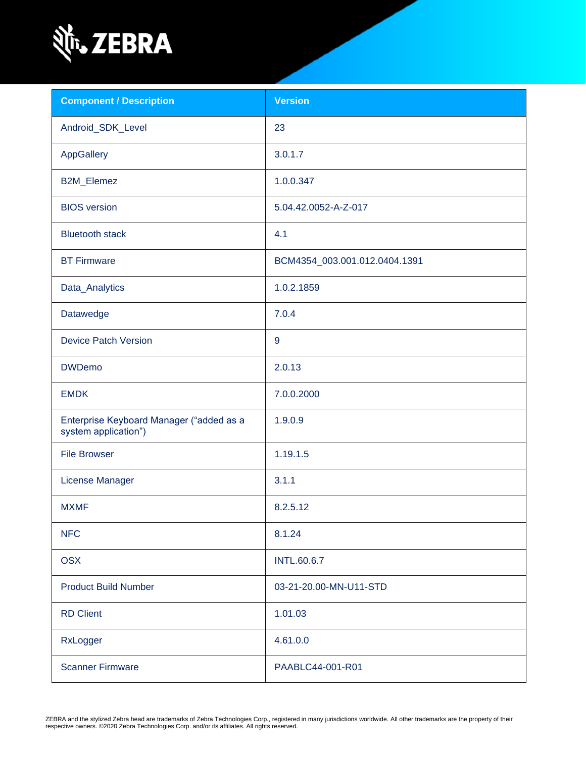

| <b>Component / Description</b>                                   | <b>Version</b>                |  |
|------------------------------------------------------------------|-------------------------------|--|
| Android_SDK_Level                                                | 23                            |  |
| AppGallery                                                       | 3.0.1.7                       |  |
| B2M_Elemez                                                       | 1.0.0.347                     |  |
| <b>BIOS</b> version                                              | 5.04.42.0052-A-Z-017          |  |
| <b>Bluetooth stack</b>                                           | 4.1                           |  |
| <b>BT Firmware</b>                                               | BCM4354_003.001.012.0404.1391 |  |
| Data_Analytics                                                   | 1.0.2.1859                    |  |
| Datawedge                                                        | 7.0.4                         |  |
| <b>Device Patch Version</b>                                      | $9\,$                         |  |
| <b>DWDemo</b>                                                    | 2.0.13                        |  |
| <b>EMDK</b>                                                      | 7.0.0.2000                    |  |
| Enterprise Keyboard Manager ("added as a<br>system application") | 1.9.0.9                       |  |
| <b>File Browser</b>                                              | 1.19.1.5                      |  |
| License Manager                                                  | 3.1.1                         |  |
| <b>MXMF</b>                                                      | 8.2.5.12                      |  |
| <b>NFC</b>                                                       | 8.1.24                        |  |
| <b>OSX</b>                                                       | <b>INTL.60.6.7</b>            |  |
| <b>Product Build Number</b>                                      | 03-21-20.00-MN-U11-STD        |  |
| <b>RD Client</b>                                                 | 1.01.03                       |  |
| RxLogger                                                         | 4.61.0.0                      |  |
| <b>Scanner Firmware</b>                                          | PAABLC44-001-R01              |  |